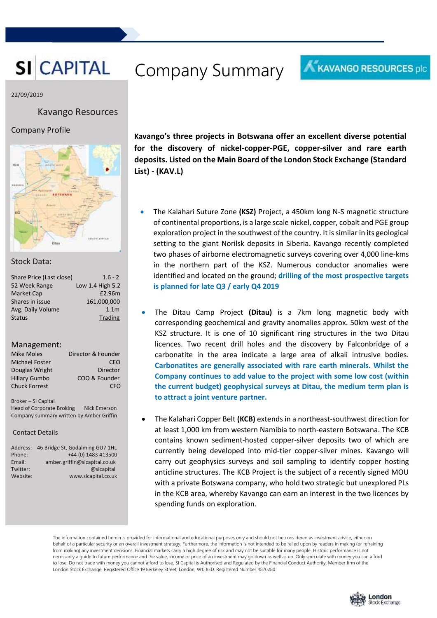# **SI CAPITAL** Company Summary

#### 22/09/2019

#### Kavango Resources

#### Company Profile



#### Stock Data:

| Share Price (Last close) | $1.6 - 2$        |
|--------------------------|------------------|
| 52 Week Range            | Low 1.4 High 5.2 |
| <b>Market Cap</b>        | £2.96m           |
| Shares in issue          | 161,000,000      |
| Avg. Daily Volume        | 1.1 <sub>m</sub> |
| <b>Status</b>            | Trading          |
|                          |                  |

#### Management:

| <b>Mike Moles</b>     | Director & Founder |
|-----------------------|--------------------|
| <b>Michael Foster</b> | CEO                |
| Douglas Wright        | <b>Director</b>    |
| <b>Hillary Gumbo</b>  | COO & Founder      |
| <b>Chuck Forrest</b>  | CEO                |

Broker – SI Capital Head of Corporate Broking Nick Emerson Company summary written by Amber Griffin

#### Contact Details

| Address: | 46 Bridge St, Godalming GU7 1HL |
|----------|---------------------------------|
| Phone:   | +44 (0) 1483 413500             |
| Email:   | amber.griffin@sicapital.co.uk   |
| Twitter: | @sicapital                      |
| Website: | www.sicapital.co.uk             |
|          |                                 |

**Kavango's three projects in Botswana offer an excellent diverse potential for the discovery of nickel-copper-PGE, copper-silver and rare earth deposits. Listed on the Main Board of the London Stock Exchange (Standard List) - (KAV.L)**

- The Kalahari Suture Zone **(KSZ)** Project, a 450km long N-S magnetic structure of continental proportions, is a large scale nickel, copper, cobalt and PGE group exploration project in the southwest of the country. It is similar in its geological setting to the giant Norilsk deposits in Siberia. Kavango recently completed two phases of airborne electromagnetic surveys covering over 4,000 line-kms in the northern part of the KSZ. Numerous conductor anomalies were identified and located on the ground; **drilling of the most prospective targets is planned for late Q3 / early Q4 2019**
- The Ditau Camp Project **(Ditau)** is a 7km long magnetic body with corresponding geochemical and gravity anomalies approx. 50km west of the KSZ structure. It is one of 10 significant ring structures in the two Ditau licences. Two recent drill holes and the discovery by Falconbridge of a carbonatite in the area indicate a large area of alkali intrusive bodies. **Carbonatites are generally associated with rare earth minerals. Whilst the Company continues to add value to the project with some low cost (within the current budget) geophysical surveys at Ditau, the medium term plan is to attract a joint venture partner.**
- The Kalahari Copper Belt **(KCB)** extends in a northeast-southwest direction for at least 1,000 km from western Namibia to north-eastern Botswana. The KCB contains known sediment-hosted copper-silver deposits two of which are currently being developed into mid-tier copper-silver mines. Kavango will carry out geophysics surveys and soil sampling to identify copper hosting anticline structures. The KCB Project is the subject of a recently signed MOU with a private Botswana company, who hold two strategic but unexplored PLs in the KCB area, whereby Kavango can earn an interest in the two licences by spending funds on exploration.

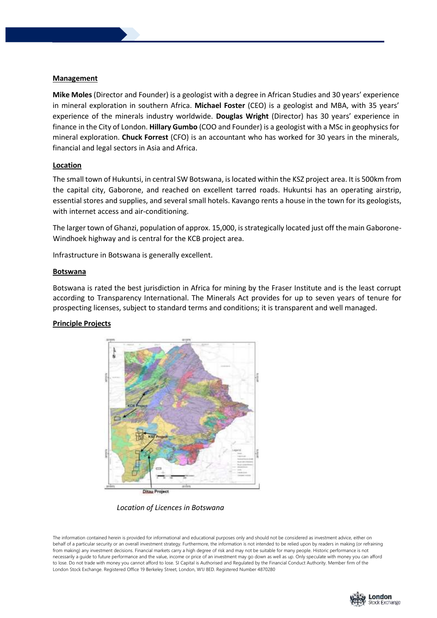#### **Management**

**Mike Moles**(Director and Founder) is a geologist with a degree in African Studies and 30 years' experience in mineral exploration in southern Africa. **Michael Foster** (CEO) is a geologist and MBA, with 35 years' experience of the minerals industry worldwide. **Douglas Wright** (Director) has 30 years' experience in finance in the City of London. **Hillary Gumbo** (COO and Founder) is a geologist with a MSc in geophysics for mineral exploration. **Chuck Forrest** (CFO) is an accountant who has worked for 30 years in the minerals, financial and legal sectors in Asia and Africa.

#### **Location**

The small town of Hukuntsi, in central SW Botswana, is located within the KSZ project area. It is 500km from the capital city, Gaborone, and reached on excellent tarred roads. Hukuntsi has an operating airstrip, essential stores and supplies, and several small hotels. Kavango rents a house in the town for its geologists, with internet access and air-conditioning.

The larger town of Ghanzi, population of approx. 15,000, is strategically located just off the main Gaborone-Windhoek highway and is central for the KCB project area.

Infrastructure in Botswana is generally excellent.

#### **Botswana**

Botswana is rated the best jurisdiction in Africa for mining by the Fraser Institute and is the least corrupt according to Transparency International. The Minerals Act provides for up to seven years of tenure for prospecting licenses, subject to standard terms and conditions; it is transparent and well managed.

#### **Principle Projects**



 *Location of Licences in Botswana*

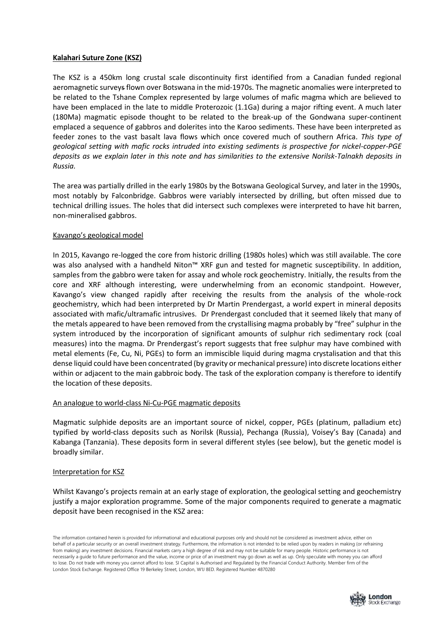#### **Kalahari Suture Zone (KSZ)**

The KSZ is a 450km long crustal scale discontinuity first identified from a Canadian funded regional aeromagnetic surveys flown over Botswana in the mid-1970s. The magnetic anomalies were interpreted to be related to the Tshane Complex represented by large volumes of mafic magma which are believed to have been emplaced in the late to middle Proterozoic (1.1Ga) during a major rifting event. A much later (180Ma) magmatic episode thought to be related to the break-up of the Gondwana super-continent emplaced a sequence of gabbros and dolerites into the Karoo sediments. These have been interpreted as feeder zones to the vast basalt lava flows which once covered much of southern Africa. *This type of geological setting with mafic rocks intruded into existing sediments is prospective for nickel-copper-PGE deposits as we explain later in this note and has similarities to the extensive Norilsk-Talnakh deposits in Russia.*

The area was partially drilled in the early 1980s by the Botswana Geological Survey, and later in the 1990s, most notably by Falconbridge. Gabbros were variably intersected by drilling, but often missed due to technical drilling issues. The holes that did intersect such complexes were interpreted to have hit barren, non-mineralised gabbros.

#### Kavango's geological model

In 2015, Kavango re-logged the core from historic drilling (1980s holes) which was still available. The core was also analysed with a handheld Niton™ XRF gun and tested for magnetic susceptibility. In addition, samples from the gabbro were taken for assay and whole rock geochemistry. Initially, the results from the core and XRF although interesting, were underwhelming from an economic standpoint. However, Kavango's view changed rapidly after receiving the results from the analysis of the whole-rock geochemistry, which had been interpreted by Dr Martin Prendergast, a world expert in mineral deposits associated with mafic/ultramafic intrusives. Dr Prendergast concluded that it seemed likely that many of the metals appeared to have been removed from the crystallising magma probably by "free" sulphur in the system introduced by the incorporation of significant amounts of sulphur rich sedimentary rock (coal measures) into the magma. Dr Prendergast's report suggests that free sulphur may have combined with metal elements (Fe, Cu, Ni, PGEs) to form an immiscible liquid during magma crystalisation and that this dense liquid could have been concentrated (by gravity or mechanical pressure) into discrete locations either within or adjacent to the main gabbroic body. The task of the exploration company is therefore to identify the location of these deposits.

#### An analogue to world-class Ni-Cu-PGE magmatic deposits

Magmatic sulphide deposits are an important source of nickel, copper, PGEs (platinum, palladium etc) typified by world-class deposits such as Norilsk (Russia), Pechanga (Russia), Voisey's Bay (Canada) and Kabanga (Tanzania). These deposits form in several different styles (see below), but the genetic model is broadly similar.

#### Interpretation for KSZ

Whilst Kavango's projects remain at an early stage of exploration, the geological setting and geochemistry justify a major exploration programme. Some of the major components required to generate a magmatic deposit have been recognised in the KSZ area:

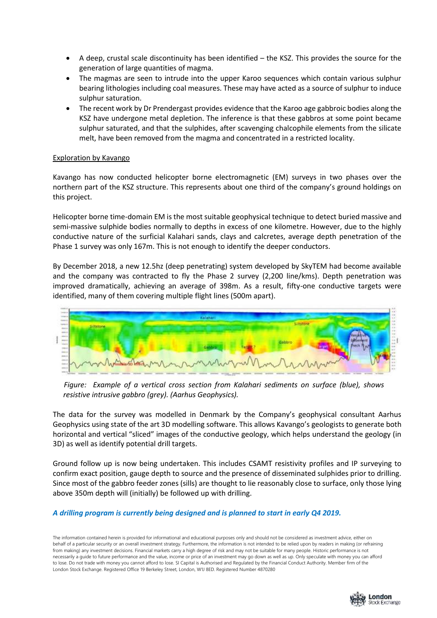- A deep, crustal scale discontinuity has been identified the KSZ. This provides the source for the generation of large quantities of magma.
- The magmas are seen to intrude into the upper Karoo sequences which contain various sulphur bearing lithologies including coal measures. These may have acted as a source of sulphur to induce sulphur saturation.
- The recent work by Dr Prendergast provides evidence that the Karoo age gabbroic bodies along the KSZ have undergone metal depletion. The inference is that these gabbros at some point became sulphur saturated, and that the sulphides, after scavenging chalcophile elements from the silicate melt, have been removed from the magma and concentrated in a restricted locality.

#### Exploration by Kavango

Kavango has now conducted helicopter borne electromagnetic (EM) surveys in two phases over the northern part of the KSZ structure. This represents about one third of the company's ground holdings on this project.

Helicopter borne time-domain EM is the most suitable geophysical technique to detect buried massive and semi-massive sulphide bodies normally to depths in excess of one kilometre. However, due to the highly conductive nature of the surficial Kalahari sands, clays and calcretes, average depth penetration of the Phase 1 survey was only 167m. This is not enough to identify the deeper conductors.

By December 2018, a new 12.5hz (deep penetrating) system developed by SkyTEM had become available and the company was contracted to fly the Phase 2 survey (2,200 line/kms). Depth penetration was improved dramatically, achieving an average of 398m. As a result, fifty-one conductive targets were identified, many of them covering multiple flight lines (500m apart).



 *Figure: Example of a vertical cross section from Kalahari sediments on surface (blue), shows resistive intrusive gabbro (grey). (Aarhus Geophysics).*

The data for the survey was modelled in Denmark by the Company's geophysical consultant Aarhus Geophysics using state of the art 3D modelling software. This allows Kavango's geologists to generate both horizontal and vertical "sliced" images of the conductive geology, which helps understand the geology (in 3D) as well as identify potential drill targets.

Ground follow up is now being undertaken. This includes CSAMT resistivity profiles and IP surveying to confirm exact position, gauge depth to source and the presence of disseminated sulphides prior to drilling. Since most of the gabbro feeder zones (sills) are thought to lie reasonably close to surface, only those lying above 350m depth will (initially) be followed up with drilling.

## *A drilling program is currently being designed and is planned to start in early Q4 2019.*

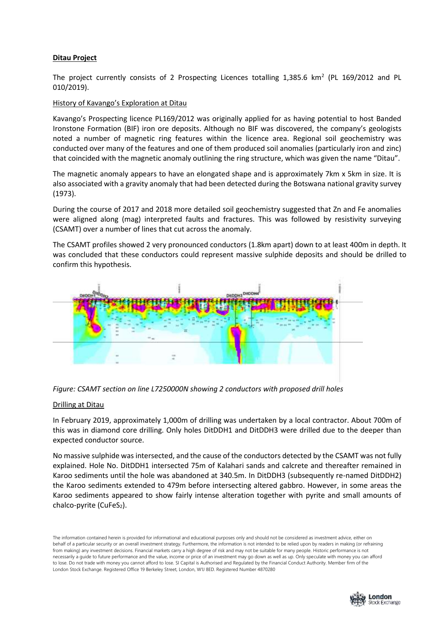#### **Ditau Project**

The project currently consists of 2 Prospecting Licences totalling 1,385.6  $km^2$  (PL 169/2012 and PL 010/2019).

#### History of Kavango's Exploration at Ditau

Kavango's Prospecting licence PL169/2012 was originally applied for as having potential to host Banded Ironstone Formation (BIF) iron ore deposits. Although no BIF was discovered, the company's geologists noted a number of magnetic ring features within the licence area. Regional soil geochemistry was conducted over many of the features and one of them produced soil anomalies (particularly iron and zinc) that coincided with the magnetic anomaly outlining the ring structure, which was given the name "Ditau".

The magnetic anomaly appears to have an elongated shape and is approximately 7km x 5km in size. It is also associated with a gravity anomaly that had been detected during the Botswana national gravity survey (1973).

During the course of 2017 and 2018 more detailed soil geochemistry suggested that Zn and Fe anomalies were aligned along (mag) interpreted faults and fractures. This was followed by resistivity surveying (CSAMT) over a number of lines that cut across the anomaly.

The CSAMT profiles showed 2 very pronounced conductors (1.8km apart) down to at least 400m in depth. It was concluded that these conductors could represent massive sulphide deposits and should be drilled to confirm this hypothesis.



*Figure: CSAMT section on line L7250000N showing 2 conductors with proposed drill holes*

#### Drilling at Ditau

In February 2019, approximately 1,000m of drilling was undertaken by a local contractor. About 700m of this was in diamond core drilling. Only holes DitDDH1 and DitDDH3 were drilled due to the deeper than expected conductor source.

No massive sulphide was intersected, and the cause of the conductors detected by the CSAMT was not fully explained. Hole No. DitDDH1 intersected 75m of Kalahari sands and calcrete and thereafter remained in Karoo sediments until the hole was abandoned at 340.5m. In DitDDH3 (subsequently re-named DitDDH2) the Karoo sediments extended to 479m before intersecting altered gabbro. However, in some areas the Karoo sediments appeared to show fairly intense alteration together with pyrite and small amounts of chalco-pyrite (CuFeS<sub>2</sub>).

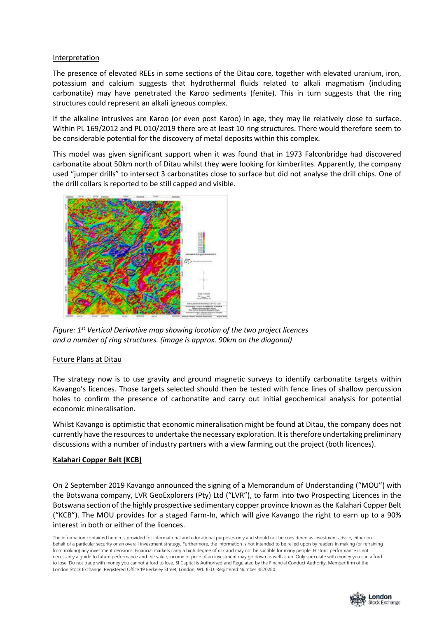#### Interpretation

The presence of elevated REEs in some sections of the Ditau core, together with elevated uranium, iron, potassium and calcium suggests that hydrothermal fluids related to alkali magmatism (including carbonatite) may have penetrated the Karoo sediments (fenite). This in turn suggests that the ring structures could represent an alkali igneous complex.

If the alkaline intrusives are Karoo (or even post Karoo) in age, they may lie relatively close to surface. Within PL 169/2012 and PL 010/2019 there are at least 10 ring structures. There would therefore seem to be considerable potential for the discovery of metal deposits within this complex.

This model was given significant support when it was found that in 1973 Falconbridge had discovered carbonatite about 50km north of Ditau whilst they were looking for kimberlites. Apparently, the company used "jumper drills" to intersect 3 carbonatites close to surface but did not analyse the drill chips. One of the drill collars is reported to be still capped and visible.



*Figure: 1st Vertical Derivative map showing location of the two project licences and a number of ring structures. (image is approx. 90km on the diagonal)*

#### Future Plans at Ditau

The strategy now is to use gravity and ground magnetic surveys to identify carbonatite targets within Kavango's licences. Those targets selected should then be tested with fence lines of shallow percussion holes to confirm the presence of carbonatite and carry out initial geochemical analysis for potential economic mineralisation.

Whilst Kavango is optimistic that economic mineralisation might be found at Ditau, the company does not currently have the resources to undertake the necessary exploration. It is therefore undertaking preliminary discussions with a number of industry partners with a view farming out the project (both licences).

#### **Kalahari Copper Belt (KCB)**

On 2 September 2019 Kavango announced the signing of a Memorandum of Understanding ("MOU") with the Botswana company, LVR GeoExplorers (Pty) Ltd ("LVR"), to farm into two Prospecting Licences in the Botswana section of the highly prospective sedimentary copper province known as the Kalahari Copper Belt ("KCB"). The MOU provides for a staged Farm-In, which will give Kavango the right to earn up to a 90% interest in both or either of the licences.